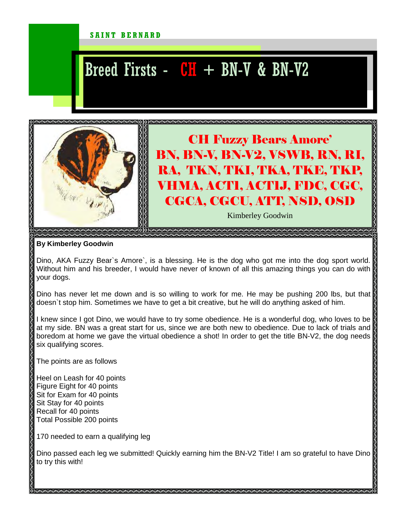## SAINT BERNARD

## Breed Firsts -  $CH$  + BN-V & BN-V2



CH Fuzzy Bears Amore' BN, BN-V, BN-V2, VSWB, RN, RI, RA, TKN, TKI, TKA, TKE, TKP, VHMA, ACT1, ACT1J, FDC, CGC, CGCA, CGCU, ATT, NSD, OSD

Kimberley Goodwin

**By Kimberley Goodwin** 

Dino, AKA Fuzzy Bear`s Amore`, is a blessing. He is the dog who got me into the dog sport world. Without him and his breeder, I would have never of known of all this amazing things you can do with your dogs.

Dino has never let me down and is so willing to work for me. He may be pushing 200 lbs, but that doesn`t stop him. Sometimes we have to get a bit creative, but he will do anything asked of him.

I knew since I got Dino, we would have to try some obedience. He is a wonderful dog, who loves to be at my side. BN was a great start for us, since we are both new to obedience. Due to lack of trials and boredom at home we gave the virtual obedience a shot! In order to get the title BN-V2, the dog needs six qualifying scores.

The points are as follows

Heel on Leash for 40 points Figure Eight for 40 points Sit for Exam for 40 points Sit Stay for 40 points Recall for 40 points Total Possible 200 points

170 needed to earn a qualifying leg

Dino passed each leg we submitted! Quickly earning him the BN-V2 Title! I am so grateful to have Dino to try this with!